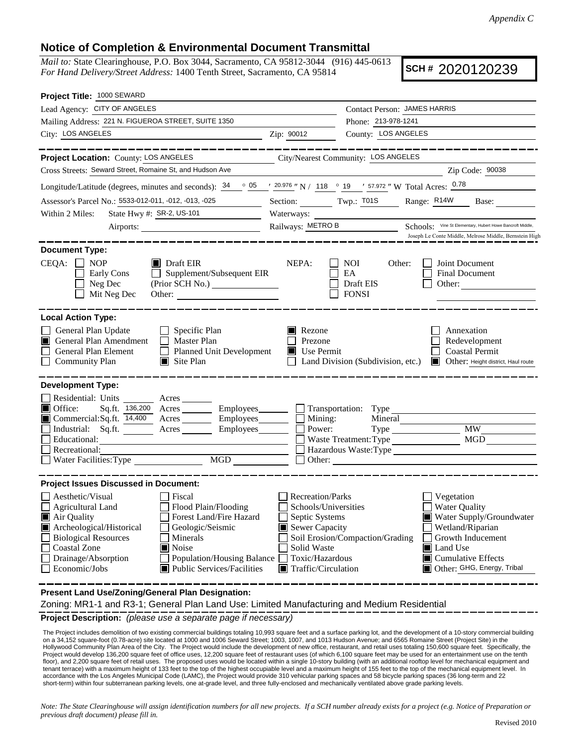## **Notice of Completion & Environmental Document Transmittal**

*Mail to:* State Clearinghouse, P.O. Box 3044, Sacramento, CA 95812-3044 (916) 445-0613 *For Hand Delivery/Street Address:* 1400 Tenth Street, Sacramento, CA 95814

**SCH #** 2020120239

| Project Title: 1000 SEWARD                                                                                                                                                                                                                                                                                                                                              |                                                                                                                                                       |                                                         |                                                                                                                                                                                 |
|-------------------------------------------------------------------------------------------------------------------------------------------------------------------------------------------------------------------------------------------------------------------------------------------------------------------------------------------------------------------------|-------------------------------------------------------------------------------------------------------------------------------------------------------|---------------------------------------------------------|---------------------------------------------------------------------------------------------------------------------------------------------------------------------------------|
| Lead Agency: CITY OF ANGELES                                                                                                                                                                                                                                                                                                                                            |                                                                                                                                                       | Contact Person: JAMES HARRIS                            |                                                                                                                                                                                 |
| Mailing Address: 221 N. FIGUEROA STREET, SUITE 1350                                                                                                                                                                                                                                                                                                                     |                                                                                                                                                       | Phone: 213-978-1241                                     |                                                                                                                                                                                 |
| City: LOS ANGELES                                                                                                                                                                                                                                                                                                                                                       | Zip: 90012                                                                                                                                            | County: LOS ANGELES                                     |                                                                                                                                                                                 |
| _________                                                                                                                                                                                                                                                                                                                                                               |                                                                                                                                                       |                                                         | _____________                                                                                                                                                                   |
| Project Location: County: LOS ANGELES                                                                                                                                                                                                                                                                                                                                   |                                                                                                                                                       | City/Nearest Community: LOS ANGELES                     |                                                                                                                                                                                 |
| Cross Streets: Seward Street, Romaine St, and Hudson Ave                                                                                                                                                                                                                                                                                                                |                                                                                                                                                       |                                                         | Zip Code: 90038                                                                                                                                                                 |
| Longitude/Latitude (degrees, minutes and seconds): $\frac{34}{9}$ $\frac{05}{120.976}$ N / 118 $\degree$ 19 $\degree$ 57.972 " W Total Acres: $\frac{0.78}{9}$                                                                                                                                                                                                          |                                                                                                                                                       |                                                         |                                                                                                                                                                                 |
| Assessor's Parcel No.: 5533-012-011, -012, -013, -025                                                                                                                                                                                                                                                                                                                   |                                                                                                                                                       | Section: Twp.: T01S Range: R14W                         | Base:                                                                                                                                                                           |
| State Hwy #: SR-2, US-101<br>Within 2 Miles:                                                                                                                                                                                                                                                                                                                            | Waterways:                                                                                                                                            |                                                         |                                                                                                                                                                                 |
| Airports:                                                                                                                                                                                                                                                                                                                                                               | Railways: METRO B                                                                                                                                     |                                                         | Schools: Vine St Elementary, Hubert Howe Bancroft Middle,                                                                                                                       |
|                                                                                                                                                                                                                                                                                                                                                                         |                                                                                                                                                       |                                                         | Joseph Le Conte Middle, Melrose Middle, Bernstein High                                                                                                                          |
| <b>Document Type:</b><br>$CEQA: \Box NP$<br>$\blacksquare$ Draft EIR<br>$\Box$ Supplement/Subsequent EIR<br>Early Cons<br>(Prior SCH No.) ________________<br>Neg Dec<br>Mit Neg Dec<br>Other:                                                                                                                                                                          | NEPA:                                                                                                                                                 | <b>NOI</b><br>Other:<br>EA<br>Draft EIS<br><b>FONSI</b> | Joint Document<br>Final Document<br>Other:                                                                                                                                      |
| <b>Local Action Type:</b><br>General Plan Update<br>$\Box$ Specific Plan<br>$\Box$<br>General Plan Amendment<br>Master Plan<br>Planned Unit Development<br>General Plan Element<br><b>Community Plan</b><br>$\Box$ Site Plan                                                                                                                                            | Rezone<br>Prezone<br>$\blacksquare$ Use Permit                                                                                                        | Land Division (Subdivision, etc.)                       | Annexation<br>Redevelopment<br><b>Coastal Permit</b><br>Other: Height district, Haul route                                                                                      |
| <b>Development Type:</b><br>Residential: Units<br>$\frac{\ }{\ }$ Acres<br>$\blacksquare$ Office:<br>Sq.ft. 136,200 Acres _________ Employees_______                                                                                                                                                                                                                    |                                                                                                                                                       |                                                         |                                                                                                                                                                                 |
| Commercial:Sq.ft. 14,400 Acres Employees<br>Industrial: Sq.ft.<br>Acres Employees                                                                                                                                                                                                                                                                                       | $\Box$ Mining:<br>Power:                                                                                                                              | Mineral                                                 | <b>MW</b><br>$Type \_\_$                                                                                                                                                        |
| Educational:                                                                                                                                                                                                                                                                                                                                                            |                                                                                                                                                       | Waste Treatment: Type                                   | MGD                                                                                                                                                                             |
| Recreational:                                                                                                                                                                                                                                                                                                                                                           | Hazardous Waste: Type                                                                                                                                 |                                                         |                                                                                                                                                                                 |
| MGD<br>Water Facilities: Type                                                                                                                                                                                                                                                                                                                                           | Other:                                                                                                                                                |                                                         |                                                                                                                                                                                 |
| <b>Project Issues Discussed in Document:</b>                                                                                                                                                                                                                                                                                                                            |                                                                                                                                                       |                                                         |                                                                                                                                                                                 |
| Aesthetic/Visual<br>Fiscal<br><b>Agricultural Land</b><br>Flood Plain/Flooding<br>Forest Land/Fire Hazard<br>■ Air Quality<br>Archeological/Historical<br>Geologic/Seismic<br><b>Biological Resources</b><br>Minerals<br><b>Coastal Zone</b><br>Noise<br>ш<br><b>Population/Housing Balance</b><br>Drainage/Absorption<br>Economic/Jobs<br>■ Public Services/Facilities | <b>Recreation/Parks</b><br>Schools/Universities<br>Septic Systems<br>Sewer Capacity<br>Solid Waste<br>Toxic/Hazardous<br>Traffic/Circulation<br>II II | Soil Erosion/Compaction/Grading                         | Vegetation<br>Water Quality<br>Water Supply/Groundwater<br>Wetland/Riparian<br>Growth Inducement<br>Land Use<br>$\blacksquare$ Cumulative Effects<br>Other: GHG, Energy, Tribal |

**Present Land Use/Zoning/General Plan Designation:**

Zoning: MR1-1 and R3-1; General Plan Land Use: Limited Manufacturing and Medium Residential

**Project Description:** *(please use a separate page if necessary)*

The Project includes demolition of two existing commercial buildings totaling 10,993 square feet and a surface parking lot, and the development of a 10-story commercial building<br>on a 34,152 square-foot (0.78-acre) site loc Hollywood Community Plan Area of the City. The Project would include the development of new office, restaurant, and retail uses totaling 150,600 square feet. Specifically, the Project would develop 136,200 square feet of office uses, 12,200 square feet of restaurant uses (of which 6,100 square feet may be used for an entertainment use on the tenth floor), and 2,200 square feet of retail uses. The proposed uses would be located within a single 10-story building (with an additional rooftop level for mechanical equipment and tenant terrace) with a maximum height of 133 feet to the top of the highest occupiable level and a maximum height of 155 feet to the top of the mechanical equipment level. In accordance with the Los Angeles Municipal Code (LAMC), the Project would provide 310 vehicular parking spaces and 58 bicycle parking spaces (36 long-term and 22 short-term) within four subterranean parking levels, one at-grade level, and three fully-enclosed and mechanically ventilated above grade parking levels.

*Note: The State Clearinghouse will assign identification numbers for all new projects. If a SCH number already exists for a project (e.g. Notice of Preparation or previous draft document) please fill in.*